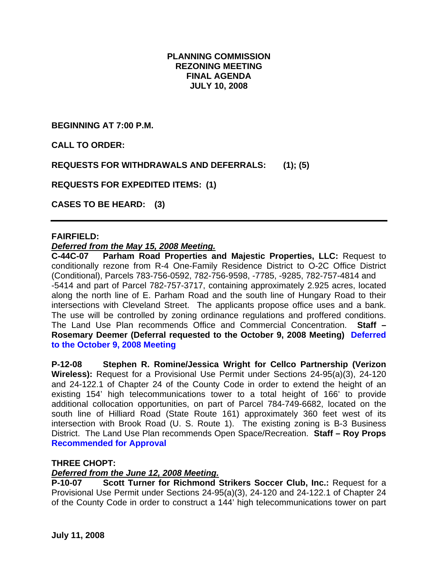## **PLANNING COMMISSION REZONING MEETING FINAL AGENDA JULY 10, 2008**

**BEGINNING AT 7:00 P.M.** 

**CALL TO ORDER:** 

**REQUESTS FOR WITHDRAWALS AND DEFERRALS: (1); (5)** 

**REQUESTS FOR EXPEDITED ITEMS: (1)** 

**CASES TO BE HEARD: (3)** 

#### **FAIRFIELD:**

#### *Deferred from the May 15, 2008 Meeting.*

**C-44C-07 Parham Road Properties and Majestic Properties, LLC:** Request to conditionally rezone from R-4 One-Family Residence District to O-2C Office District (Conditional), Parcels 783-756-0592, 782-756-9598, -7785, -9285, 782-757-4814 and -5414 and part of Parcel 782-757-3717, containing approximately 2.925 acres, located along the north line of E. Parham Road and the south line of Hungary Road to their intersections with Cleveland Street. The applicants propose office uses and a bank. The use will be controlled by zoning ordinance regulations and proffered conditions. The Land Use Plan recommends Office and Commercial Concentration. **Staff – Rosemary Deemer (Deferral requested to the October 9, 2008 Meeting) Deferred to the October 9, 2008 Meeting** 

**P-12-08 Stephen R. Romine/Jessica Wright for Cellco Partnership (Verizon Wireless):** Request for a Provisional Use Permit under Sections 24-95(a)(3), 24-120 and 24-122.1 of Chapter 24 of the County Code in order to extend the height of an existing 154' high telecommunications tower to a total height of 166' to provide additional collocation opportunities, on part of Parcel 784-749-6682, located on the south line of Hilliard Road (State Route 161) approximately 360 feet west of its intersection with Brook Road (U. S. Route 1). The existing zoning is B-3 Business District. The Land Use Plan recommends Open Space/Recreation. **Staff – Roy Props Recommended for Approval**

#### **THREE CHOPT:**

## *Deferred from the June 12, 2008 Meeting.*

**P-10-07 Scott Turner for Richmond Strikers Soccer Club, Inc.:** Request for a Provisional Use Permit under Sections 24-95(a)(3), 24-120 and 24-122.1 of Chapter 24 of the County Code in order to construct a 144' high telecommunications tower on part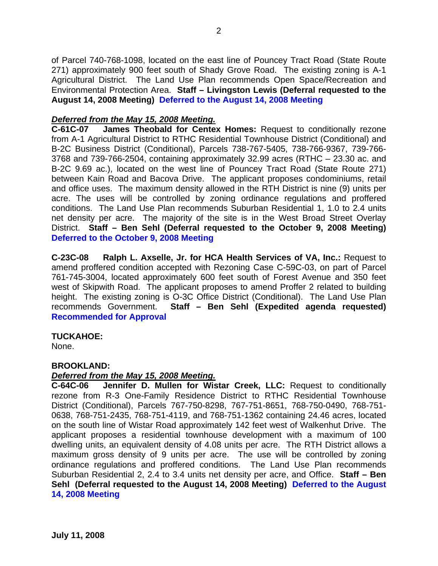of Parcel 740-768-1098, located on the east line of Pouncey Tract Road (State Route 271) approximately 900 feet south of Shady Grove Road. The existing zoning is A-1 Agricultural District. The Land Use Plan recommends Open Space/Recreation and Environmental Protection Area. **Staff – Livingston Lewis (Deferral requested to the August 14, 2008 Meeting) Deferred to the August 14, 2008 Meeting** 

# *Deferred from the May 15, 2008 Meeting.*

**C-61C-07 James Theobald for Centex Homes:** Request to conditionally rezone from A-1 Agricultural District to RTHC Residential Townhouse District (Conditional) and B-2C Business District (Conditional), Parcels 738-767-5405, 738-766-9367, 739-766- 3768 and 739-766-2504, containing approximately 32.99 acres (RTHC – 23.30 ac. and B-2C 9.69 ac.), located on the west line of Pouncey Tract Road (State Route 271) between Kain Road and Bacova Drive. The applicant proposes condominiums, retail and office uses. The maximum density allowed in the RTH District is nine (9) units per acre. The uses will be controlled by zoning ordinance regulations and proffered conditions. The Land Use Plan recommends Suburban Residential 1, 1.0 to 2.4 units net density per acre. The majority of the site is in the West Broad Street Overlay District. **Staff – Ben Sehl (Deferral requested to the October 9, 2008 Meeting) Deferred to the October 9, 2008 Meeting** 

**C-23C-08 Ralph L. Axselle, Jr. for HCA Health Services of VA, Inc.:** Request to amend proffered condition accepted with Rezoning Case C-59C-03, on part of Parcel 761-745-3004, located approximately 600 feet south of Forest Avenue and 350 feet west of Skipwith Road. The applicant proposes to amend Proffer 2 related to building height. The existing zoning is O-3C Office District (Conditional). The Land Use Plan recommends Government. **Staff – Ben Sehl (Expedited agenda requested) Recommended for Approval**

## **TUCKAHOE:**

None.

## **BROOKLAND:**

## *Deferred from the May 15, 2008 Meeting.*

**C-64C-06 Jennifer D. Mullen for Wistar Creek, LLC:** Request to conditionally rezone from R-3 One-Family Residence District to RTHC Residential Townhouse District (Conditional), Parcels 767-750-8298, 767-751-8651, 768-750-0490, 768-751- 0638, 768-751-2435, 768-751-4119, and 768-751-1362 containing 24.46 acres, located on the south line of Wistar Road approximately 142 feet west of Walkenhut Drive. The applicant proposes a residential townhouse development with a maximum of 100 dwelling units, an equivalent density of 4.08 units per acre. The RTH District allows a maximum gross density of 9 units per acre. The use will be controlled by zoning ordinance regulations and proffered conditions. The Land Use Plan recommends Suburban Residential 2, 2.4 to 3.4 units net density per acre, and Office. **Staff – Ben Sehl (Deferral requested to the August 14, 2008 Meeting) Deferred to the August 14, 2008 Meeting**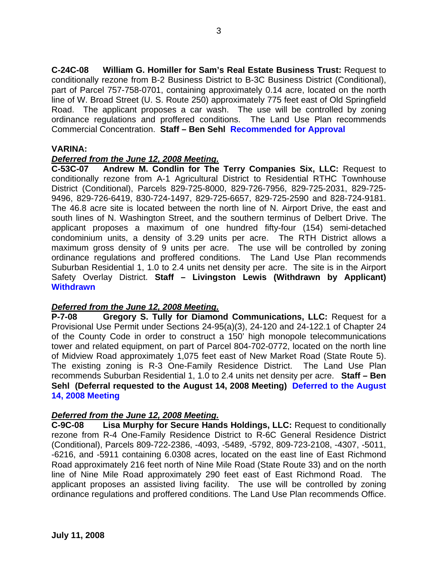**C-24C-08 William G. Homiller for Sam's Real Estate Business Trust:** Request to conditionally rezone from B-2 Business District to B-3C Business District (Conditional), part of Parcel 757-758-0701, containing approximately 0.14 acre, located on the north line of W. Broad Street (U. S. Route 250) approximately 775 feet east of Old Springfield Road. The applicant proposes a car wash. The use will be controlled by zoning ordinance regulations and proffered conditions. The Land Use Plan recommends Commercial Concentration. **Staff – Ben Sehl Recommended for Approval**

#### **VARINA:**

#### *Deferred from the June 12, 2008 Meeting.*

**C-53C-07 Andrew M. Condlin for The Terry Companies Six, LLC:** Request to conditionally rezone from A-1 Agricultural District to Residential RTHC Townhouse District (Conditional), Parcels 829-725-8000, 829-726-7956, 829-725-2031, 829-725- 9496, 829-726-6419, 830-724-1497, 829-725-6657, 829-725-2590 and 828-724-9181. The 46.8 acre site is located between the north line of N. Airport Drive, the east and south lines of N. Washington Street, and the southern terminus of Delbert Drive. The applicant proposes a maximum of one hundred fifty-four (154) semi-detached condominium units, a density of 3.29 units per acre. The RTH District allows a maximum gross density of 9 units per acre. The use will be controlled by zoning ordinance regulations and proffered conditions. The Land Use Plan recommends Suburban Residential 1, 1.0 to 2.4 units net density per acre. The site is in the Airport Safety Overlay District. **Staff – Livingston Lewis (Withdrawn by Applicant) Withdrawn** 

## *Deferred from the June 12, 2008 Meeting.*

**P-7-08 Gregory S. Tully for Diamond Communications, LLC:** Request for a Provisional Use Permit under Sections 24-95(a)(3), 24-120 and 24-122.1 of Chapter 24 of the County Code in order to construct a 150' high monopole telecommunications tower and related equipment, on part of Parcel 804-702-0772, located on the north line of Midview Road approximately 1,075 feet east of New Market Road (State Route 5). The existing zoning is R-3 One-Family Residence District. The Land Use Plan recommends Suburban Residential 1, 1.0 to 2.4 units net density per acre. **Staff – Ben Sehl (Deferral requested to the August 14, 2008 Meeting) Deferred to the August 14, 2008 Meeting**

#### *Deferred from the June 12, 2008 Meeting.*

**C-9C-08 Lisa Murphy for Secure Hands Holdings, LLC:** Request to conditionally rezone from R-4 One-Family Residence District to R-6C General Residence District (Conditional), Parcels 809-722-2386, -4093, -5489, -5792, 809-723-2108, -4307, -5011, -6216, and -5911 containing 6.0308 acres, located on the east line of East Richmond Road approximately 216 feet north of Nine Mile Road (State Route 33) and on the north line of Nine Mile Road approximately 290 feet east of East Richmond Road. The applicant proposes an assisted living facility. The use will be controlled by zoning ordinance regulations and proffered conditions. The Land Use Plan recommends Office.